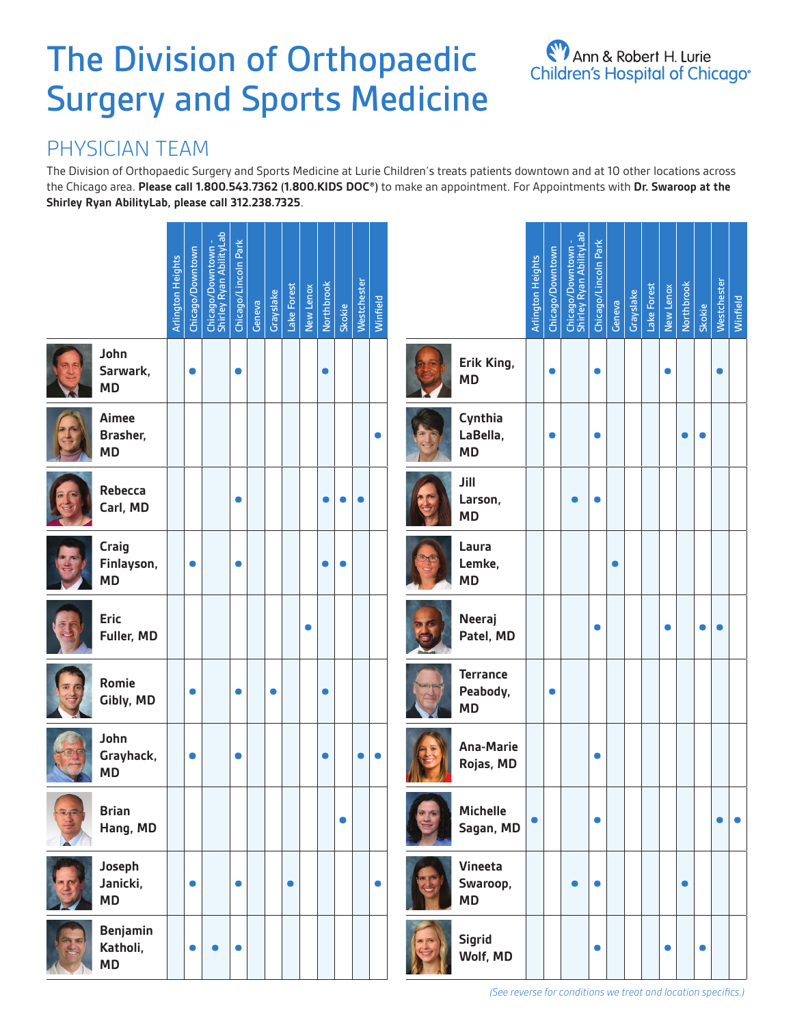# The Division of Orthopaedic Surgery and Sports Medicine

# Ann & Robert H. Lurie<br>Children's Hospital of Chicago®

# PHYSICIAN TEAM

The Division of Orthopaedic Surgery and Sports Medicine at Lurie Children's treats patients downtown and at 10 other locations across the Chicago area. **Please call 1.800.543.7362 (1.800.KIDS DOC®)** to make an appointment. For Appointments with **Dr. Swaroop at the Shirley Ryan AbilityLab, please call 312.238.7325**.

|       |                                          | <b>Arlington Heights</b> | Chicago/Downtown | Chicago/Downtown -<br>Shirley Ryan AbilityLab | Chicago/Lincoln Park | Geneva | Grayslake | Lake Forest | New Lenox | Northbrook | Skokie    | Westchester | Winfield  |                                          | <b>Arlington Heights</b> | Chicago/Downtown | Chicago/Downtown -<br>Shirley Ryan AbilityLab | Chicago/Lincoln Park | Geneva    | Grayslake | Lake Forest | New Lenox | Northbrook | Skokie    | Westchester | Winfield  |
|-------|------------------------------------------|--------------------------|------------------|-----------------------------------------------|----------------------|--------|-----------|-------------|-----------|------------|-----------|-------------|-----------|------------------------------------------|--------------------------|------------------|-----------------------------------------------|----------------------|-----------|-----------|-------------|-----------|------------|-----------|-------------|-----------|
|       | John<br>Sarwark,<br><b>MD</b>            |                          | $\bullet$        |                                               | $\bullet$            |        |           |             |           | $\bullet$  |           |             |           | Erik King,<br><b>MD</b>                  |                          | $\bullet$        |                                               | $\bullet$            |           |           |             | $\bullet$ |            |           |             |           |
|       | Aimee<br>Brasher,<br><b>MD</b>           |                          |                  |                                               |                      |        |           |             |           |            |           |             | $\bullet$ | Cynthia<br>LaBella,<br><b>MD</b>         |                          | $\bullet$        |                                               | $\bullet$            |           |           |             |           | $\bullet$  | $\bullet$ |             |           |
|       | Rebecca<br>Carl, MD                      |                          |                  |                                               | $\bullet$            |        |           |             |           | $\bullet$  | $\bullet$ | $\bullet$   |           | Jill<br>Larson,<br><b>MD</b>             |                          |                  | $\bullet$                                     | $\bullet$            |           |           |             |           |            |           |             |           |
|       | Craig<br>Finlayson,<br><b>MD</b>         |                          | $\bullet$        |                                               | $\bullet$            |        |           |             |           | $\bullet$  | $\bullet$ |             |           | Laura<br>Lemke,<br><b>MD</b>             |                          |                  |                                               |                      | $\bullet$ |           |             |           |            |           |             |           |
|       | <b>Eric</b><br>Fuller, MD                |                          |                  |                                               |                      |        |           |             | $\bullet$ |            |           |             |           | <b>Neeraj</b><br>Patel, MD               |                          |                  |                                               | $\bullet$            |           |           |             | $\bullet$ |            | $\bullet$ | ●           |           |
|       | Romie<br>Gibly, MD                       |                          | $\bullet$        |                                               | $\bullet$            |        | $\bullet$ |             |           | $\bullet$  |           |             |           | <b>Terrance</b><br>Peabody,<br><b>MD</b> |                          | $\bullet$        |                                               |                      |           |           |             |           |            |           |             |           |
|       | John<br>Grayhack,<br><b>MD</b>           |                          | $\bullet$        |                                               | $\bullet$            |        |           |             |           | $\bullet$  |           |             | $\bullet$ | <b>Ana-Marie</b><br>Rojas, MD            |                          |                  |                                               | $\bullet$            |           |           |             |           |            |           |             |           |
| $\pi$ | <b>Brian</b><br>Hang, MD                 |                          |                  |                                               |                      |        |           |             |           |            | $\bullet$ |             |           | <b>Michelle</b><br>Sagan, MD             | $\bullet$                |                  |                                               | $\bullet$            |           |           |             |           |            |           |             | $\bullet$ |
|       | Joseph<br>Janicki,<br><b>MD</b>          |                          | $\bullet$        |                                               | $\bullet$            |        |           | $\bullet$   |           |            |           |             | $\bullet$ | Vineeta<br>Swaroop,<br><b>MD</b>         |                          |                  | $\bullet$                                     | $\bullet$            |           |           |             |           | $\bullet$  |           |             |           |
|       | <b>Benjamin</b><br>Katholi,<br><b>MD</b> |                          | $\bullet$        | $\bullet$                                     | $\bullet$            |        |           |             |           |            |           |             |           | Sigrid<br>Wolf, MD                       |                          |                  |                                               | $\bullet$            |           |           |             | $\bullet$ |            | $\bullet$ |             |           |

*(See reverse for conditions we treat and location specifics.)*